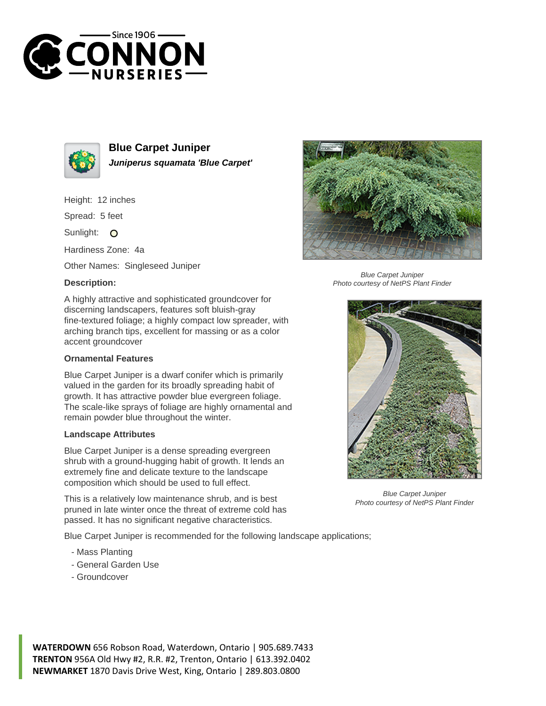



**Blue Carpet Juniper Juniperus squamata 'Blue Carpet'**

Height: 12 inches

Spread: 5 feet

Sunlight: O

Hardiness Zone: 4a

Other Names: Singleseed Juniper

## **Description:**

A highly attractive and sophisticated groundcover for discerning landscapers, features soft bluish-gray fine-textured foliage; a highly compact low spreader, with arching branch tips, excellent for massing or as a color accent groundcover

## **Ornamental Features**

Blue Carpet Juniper is a dwarf conifer which is primarily valued in the garden for its broadly spreading habit of growth. It has attractive powder blue evergreen foliage. The scale-like sprays of foliage are highly ornamental and remain powder blue throughout the winter.

## **Landscape Attributes**

Blue Carpet Juniper is a dense spreading evergreen shrub with a ground-hugging habit of growth. It lends an extremely fine and delicate texture to the landscape composition which should be used to full effect.

This is a relatively low maintenance shrub, and is best pruned in late winter once the threat of extreme cold has passed. It has no significant negative characteristics.

Blue Carpet Juniper is recommended for the following landscape applications;

- Mass Planting
- General Garden Use
- Groundcover



Blue Carpet Juniper Photo courtesy of NetPS Plant Finder



Blue Carpet Juniper Photo courtesy of NetPS Plant Finder

**WATERDOWN** 656 Robson Road, Waterdown, Ontario | 905.689.7433 **TRENTON** 956A Old Hwy #2, R.R. #2, Trenton, Ontario | 613.392.0402 **NEWMARKET** 1870 Davis Drive West, King, Ontario | 289.803.0800